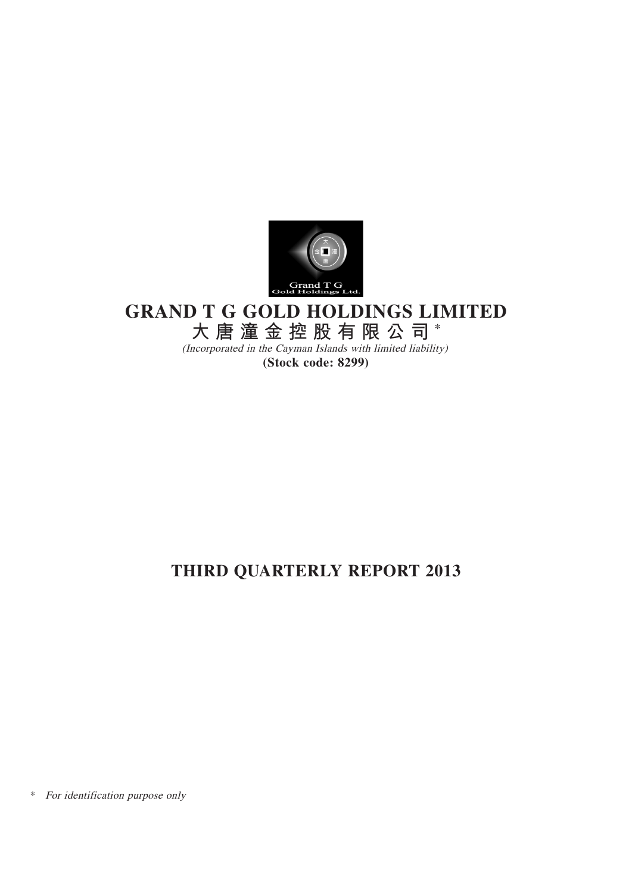

# **GRAND T G GOLD HOLDINGS LIMITED**

**大唐潼金控股有限公司** \*

(Incorporated in the Cayman Islands with limited liability) **(Stock code: 8299)**

# **THIRD QUARTERLY REPORT 2013**

\* For identification purpose only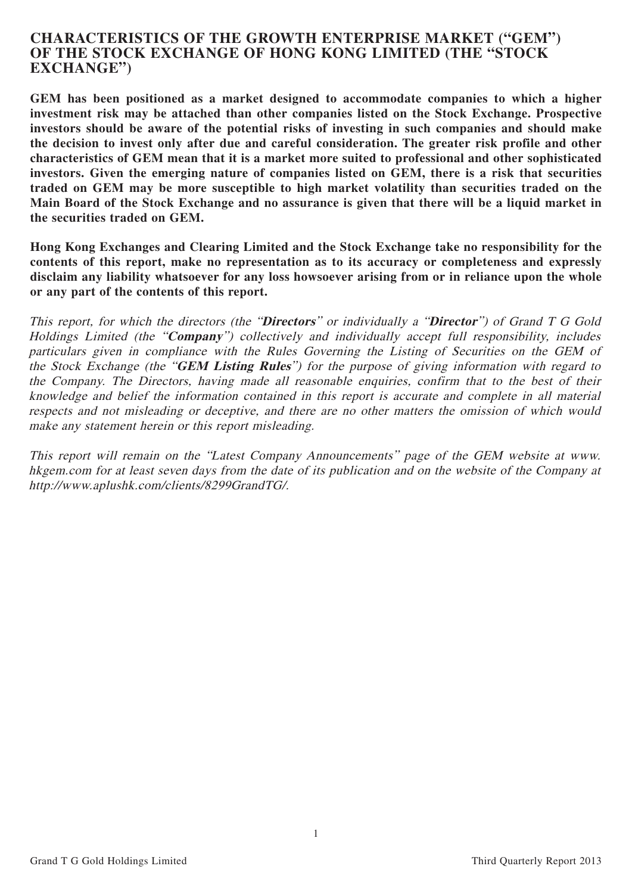## **CHARACTERISTICS OF THE GROWTH ENTERPRISE MARKET ("GEM") OF THE STOCK EXCHANGE OF HONG KONG LIMITED (THE "STOCK EXCHANGE")**

**GEM has been positioned as a market designed to accommodate companies to which a higher investment risk may be attached than other companies listed on the Stock Exchange. Prospective investors should be aware of the potential risks of investing in such companies and should make the decision to invest only after due and careful consideration. The greater risk profile and other characteristics of GEM mean that it is a market more suited to professional and other sophisticated investors. Given the emerging nature of companies listed on GEM, there is a risk that securities traded on GEM may be more susceptible to high market volatility than securities traded on the Main Board of the Stock Exchange and no assurance is given that there will be a liquid market in the securities traded on GEM.**

**Hong Kong Exchanges and Clearing Limited and the Stock Exchange take no responsibility for the contents of this report, make no representation as to its accuracy or completeness and expressly disclaim any liability whatsoever for any loss howsoever arising from or in reliance upon the whole or any part of the contents of this report.**

This report, for which the directors (the "**Directors**" or individually a "**Director**") of Grand T G Gold Holdings Limited (the "**Company**") collectively and individually accept full responsibility, includes particulars given in compliance with the Rules Governing the Listing of Securities on the GEM of the Stock Exchange (the "**GEM Listing Rules**") for the purpose of giving information with regard to the Company. The Directors, having made all reasonable enquiries, confirm that to the best of their knowledge and belief the information contained in this report is accurate and complete in all material respects and not misleading or deceptive, and there are no other matters the omission of which would make any statement herein or this report misleading.

This report will remain on the "Latest Company Announcements" page of the GEM website at www. hkgem.com for at least seven days from the date of its publication and on the website of the Company at http://www.aplushk.com/clients/8299GrandTG/.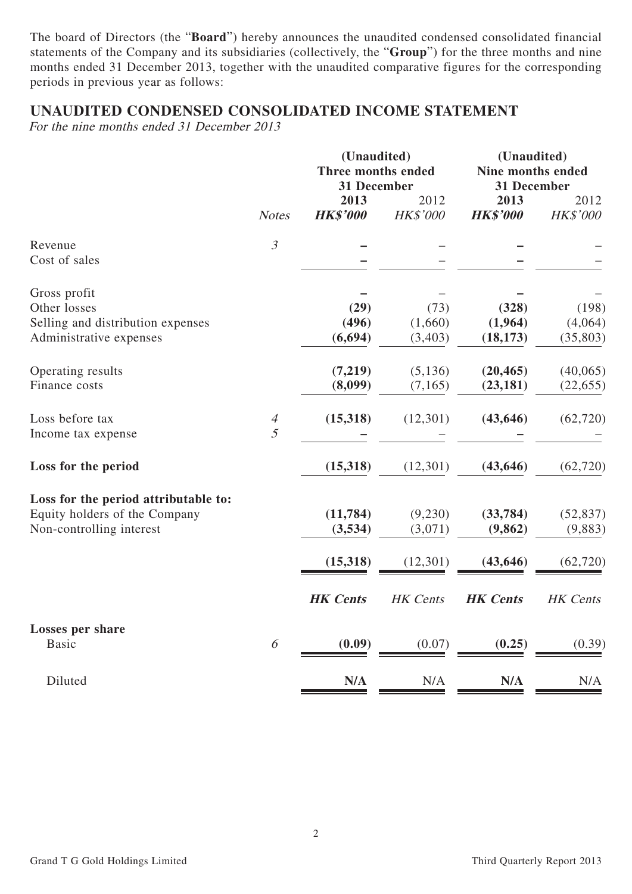The board of Directors (the "**Board**") hereby announces the unaudited condensed consolidated financial statements of the Company and its subsidiaries (collectively, the "**Group**") for the three months and nine months ended 31 December 2013, together with the unaudited comparative figures for the corresponding periods in previous year as follows:

# **UNAUDITED CONDENSED CONSOLIDATED INCOME STATEMENT**

For the nine months ended 31 December 2013

|                                                                                                   | <b>Notes</b>          | (Unaudited)<br>Three months ended<br>31 December |                            | (Unaudited)<br>Nine months ended<br>31 December |                               |  |
|---------------------------------------------------------------------------------------------------|-----------------------|--------------------------------------------------|----------------------------|-------------------------------------------------|-------------------------------|--|
|                                                                                                   |                       | 2013<br><b>HK\$'000</b>                          | 2012<br>HK\$'000           | 2013<br><b>HK\$'000</b>                         | 2012<br>HK\$'000              |  |
| Revenue<br>Cost of sales                                                                          | $\mathfrak{Z}$        |                                                  |                            |                                                 |                               |  |
| Gross profit<br>Other losses<br>Selling and distribution expenses<br>Administrative expenses      |                       | (29)<br>(496)<br>(6, 694)                        | (73)<br>(1,660)<br>(3,403) | (328)<br>(1,964)<br>(18, 173)                   | (198)<br>(4,064)<br>(35, 803) |  |
| Operating results<br>Finance costs                                                                |                       | (7,219)<br>(8,099)                               | (5, 136)<br>(7, 165)       | (20, 465)<br>(23, 181)                          | (40,065)<br>(22, 655)         |  |
| Loss before tax<br>Income tax expense                                                             | $\overline{A}$<br>5   | (15,318)                                         | (12,301)                   | (43, 646)                                       | (62, 720)                     |  |
| Loss for the period                                                                               |                       | (15,318)                                         | (12,301)                   | (43, 646)                                       | (62, 720)                     |  |
| Loss for the period attributable to:<br>Equity holders of the Company<br>Non-controlling interest |                       | (11, 784)<br>(3,534)                             | (9,230)<br>(3,071)         | (33, 784)<br>(9, 862)                           | (52, 837)<br>(9,883)          |  |
|                                                                                                   |                       | (15,318)<br><b>HK</b> Cents                      | (12,301)<br>HK Cents       | (43, 646)<br><b>HK</b> Cents                    | (62, 720)<br>HK Cents         |  |
| Losses per share<br><b>Basic</b>                                                                  | $\boldsymbol{\delta}$ | (0.09)                                           | (0.07)                     | (0.25)                                          | (0.39)                        |  |
| Diluted                                                                                           |                       | N/A                                              | N/A                        | N/A                                             | N/A                           |  |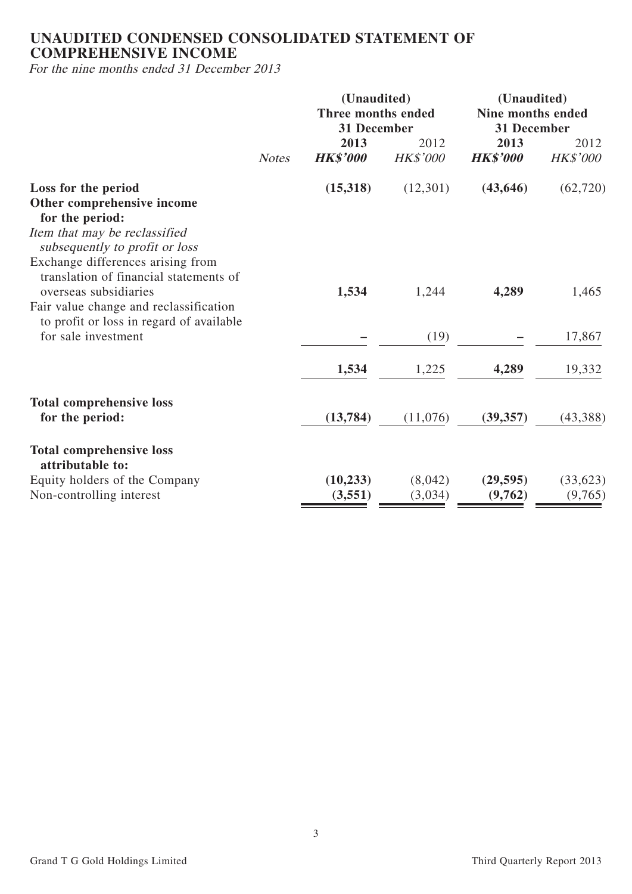# **UNAUDITED CONDENSED CONSOLIDATED STATEMENT OF COMPREHENSIVE INCOME**

For the nine months ended 31 December 2013

|                                                                                                           |              | (Unaudited)<br>Three months ended<br>31 December |                         | (Unaudited)<br><b>Nine months ended</b><br>31 December |                         |  |
|-----------------------------------------------------------------------------------------------------------|--------------|--------------------------------------------------|-------------------------|--------------------------------------------------------|-------------------------|--|
|                                                                                                           | <b>Notes</b> | 2013<br><b>HK\$'000</b>                          | 2012<br><b>HK\$'000</b> | 2013<br><b>HK\$'000</b>                                | 2012<br><b>HK\$'000</b> |  |
| Loss for the period<br>Other comprehensive income<br>for the period:                                      |              | (15,318)                                         | (12,301)                | (43, 646)                                              | (62, 720)               |  |
| Item that may be reclassified<br>subsequently to profit or loss<br>Exchange differences arising from      |              |                                                  |                         |                                                        |                         |  |
| translation of financial statements of<br>overseas subsidiaries<br>Fair value change and reclassification |              | 1,534                                            | 1,244                   | 4,289                                                  | 1,465                   |  |
| to profit or loss in regard of available<br>for sale investment                                           |              |                                                  | (19)                    |                                                        | 17,867                  |  |
|                                                                                                           |              | 1,534                                            | 1,225                   | 4,289                                                  | 19,332                  |  |
| <b>Total comprehensive loss</b><br>for the period:                                                        |              | (13, 784)                                        | (11,076)                | (39, 357)                                              | (43, 388)               |  |
| <b>Total comprehensive loss</b><br>attributable to:                                                       |              |                                                  |                         |                                                        |                         |  |
| Equity holders of the Company<br>Non-controlling interest                                                 |              | (10, 233)<br>(3,551)                             | (8,042)<br>(3,034)      | (29, 595)<br>(9,762)                                   | (33, 623)<br>(9,765)    |  |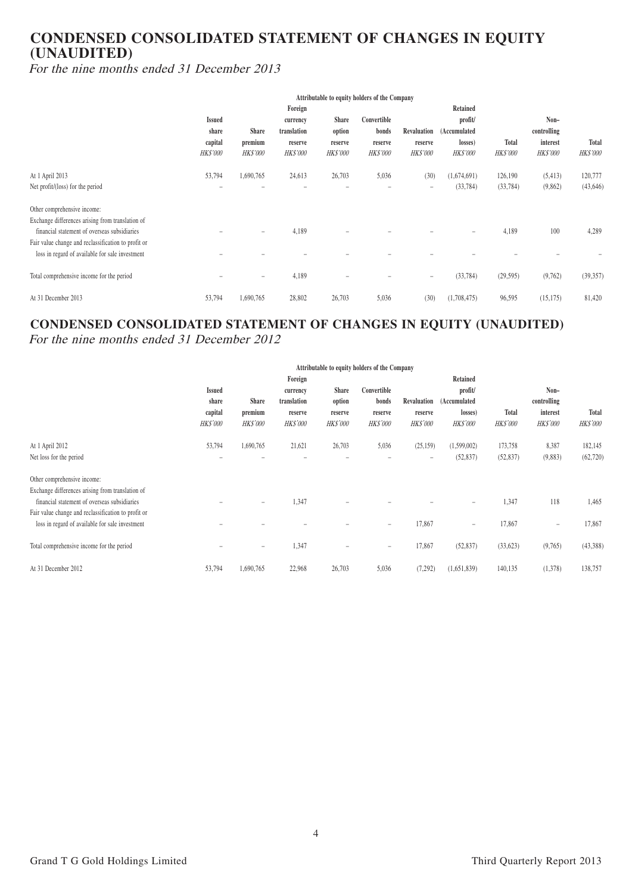# **CONDENSED CONSOLIDATED STATEMENT OF CHANGES IN EQUITY (UNAUDITED)**

For the nine months ended 31 December 2013

|                                                     | Attributable to equity holders of the Company |                   |                 |                          |                 |                   |                 |                 |                 |                 |
|-----------------------------------------------------|-----------------------------------------------|-------------------|-----------------|--------------------------|-----------------|-------------------|-----------------|-----------------|-----------------|-----------------|
|                                                     | Foreign                                       |                   |                 |                          | Retained        |                   |                 |                 |                 |                 |
|                                                     | <b>Issued</b>                                 |                   | currency        | <b>Share</b>             | Convertible     |                   | profit/         |                 | Non-            |                 |
|                                                     | share                                         | <b>Share</b>      | translation     | option                   | bonds           | Revaluation       | (Accumulated    |                 | controlling     |                 |
|                                                     | capital                                       | premium           | reserve         | reserve                  | reserve         | reserve           | losses)         | Total           | interest        | Total           |
|                                                     | <b>HK\$'000</b>                               | HK\$'000          | <b>HK\$'000</b> | <b>HK\$'000</b>          | <b>HK\$'000</b> | <b>HK\$'000</b>   | <b>HK\$'000</b> | <b>HK\$'000</b> | <b>HK\$'000</b> | <b>HK\$'000</b> |
| At 1 April 2013                                     | 53,794                                        | 1,690,765         | 24,613          | 26,703                   | 5,036           | (30)              | (1,674,691)     | 126,190         | (5, 413)        | 120,777         |
| Net profit/(loss) for the period                    |                                               |                   |                 |                          |                 | $\qquad \qquad =$ | (33, 784)       | (33, 784)       | (9,862)         | (43, 646)       |
| Other comprehensive income:                         |                                               |                   |                 |                          |                 |                   |                 |                 |                 |                 |
| Exchange differences arising from translation of    |                                               |                   |                 |                          |                 |                   |                 |                 |                 |                 |
| financial statement of overseas subsidiaries        |                                               | $\qquad \qquad =$ | 4,189           |                          |                 |                   |                 | 4,189           | 100             | 4,289           |
| Fair value change and reclassification to profit or |                                               |                   |                 |                          |                 |                   |                 |                 |                 |                 |
| loss in regard of available for sale investment     |                                               |                   |                 |                          |                 |                   |                 |                 |                 |                 |
| Total comprehensive income for the period           | $\overline{\phantom{0}}$                      | $\qquad \qquad =$ | 4,189           | $\overline{\phantom{0}}$ |                 | $\qquad \qquad =$ | (33, 784)       | (29, 595)       | (9,762)         | (39, 357)       |
| At 31 December 2013                                 | 53,794                                        | 1,690,765         | 28,802          | 26,703                   | 5,036           | (30)              | (1,708,475)     | 96,595          | (15, 175)       | 81,420          |

# **CONDENSED CONSOLIDATED STATEMENT OF CHANGES IN EQUITY (UNAUDITED)** For the nine months ended 31 December 2012

|                                                     | Attributable to equity holders of the Company |                          |                 |                          |                          |                   |                          |                 |                          |                 |
|-----------------------------------------------------|-----------------------------------------------|--------------------------|-----------------|--------------------------|--------------------------|-------------------|--------------------------|-----------------|--------------------------|-----------------|
|                                                     | Foreign                                       |                          |                 |                          | Retained                 |                   |                          |                 |                          |                 |
|                                                     | <b>Issued</b>                                 |                          | currency        | <b>Share</b>             | Convertible              |                   | profit/                  |                 | Non-                     |                 |
|                                                     | share                                         | <b>Share</b>             | translation     | option                   | bonds                    |                   | Revaluation (Accumulated |                 | controlling              |                 |
|                                                     | capital                                       | premium                  | reserve         | reserve                  | reserve                  | reserve           | losses)                  | <b>Total</b>    | interest                 | Total           |
|                                                     | <b>HK\$'000</b>                               | <b>HK\$'000</b>          | <b>HK\$'000</b> | <b>HK\$'000</b>          | <b>HK\$'000</b>          | <b>HK\$'000</b>   | <b>HK\$'000</b>          | <b>HK\$'000</b> | HK\$'000                 | <b>HK\$'000</b> |
| At 1 April 2012                                     | 53,794                                        | 1,690,765                | 21,621          | 26,703                   | 5,036                    | (25, 159)         | (1,599,002)              | 173,758         | 8,387                    | 182,145         |
| Net loss for the period                             | -                                             |                          |                 | ÷                        |                          | $\qquad \qquad =$ | (52, 837)                | (52, 837)       | (9,883)                  | (62, 720)       |
| Other comprehensive income:                         |                                               |                          |                 |                          |                          |                   |                          |                 |                          |                 |
| Exchange differences arising from translation of    |                                               |                          |                 |                          |                          |                   |                          |                 |                          |                 |
| financial statement of overseas subsidiaries        |                                               | $\equiv$                 | 1,347           |                          |                          |                   | $\equiv$                 | 1,347           | 118                      | 1,465           |
| Fair value change and reclassification to profit or |                                               |                          |                 |                          |                          |                   |                          |                 |                          |                 |
| loss in regard of available for sale investment     |                                               |                          |                 |                          | $\overline{\phantom{a}}$ | 17,867            | $\overline{\phantom{a}}$ | 17,867          | $\overline{\phantom{a}}$ | 17,867          |
| Total comprehensive income for the period           |                                               | $\overline{\phantom{0}}$ | 1,347           | $\overline{\phantom{0}}$ | $\overline{\phantom{a}}$ | 17,867            | (52, 837)                | (33,623)        | (9,765)                  | (43,388)        |
|                                                     |                                               |                          |                 |                          |                          |                   |                          |                 |                          |                 |
| At 31 December 2012                                 | 53,794                                        | 1,690,765                | 22,968          | 26,703                   | 5,036                    | (7,292)           | (1,651,839)              | 140,135         | (1,378)                  | 138,757         |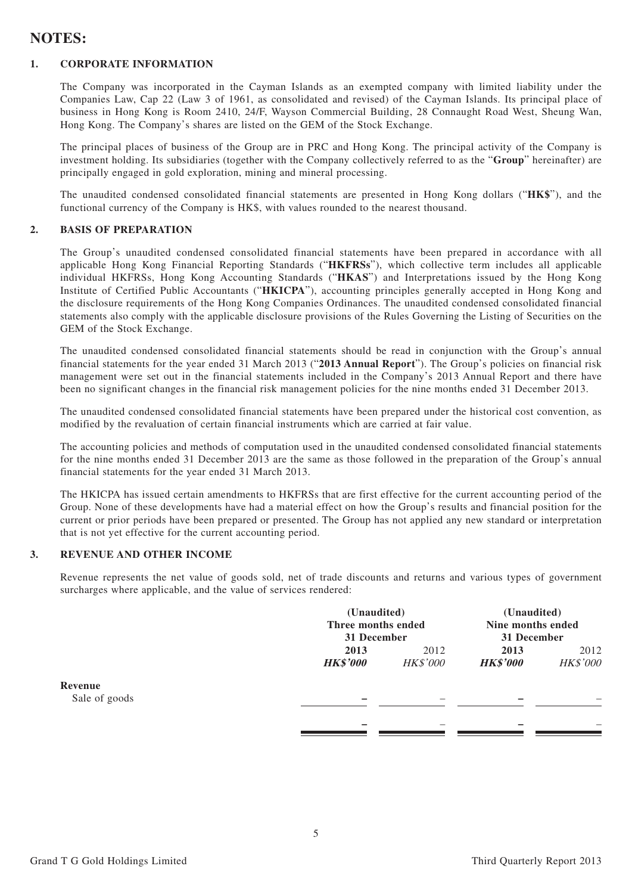# **NOTES:**

#### **1. CORPORATE INFORMATION**

The Company was incorporated in the Cayman Islands as an exempted company with limited liability under the Companies Law, Cap 22 (Law 3 of 1961, as consolidated and revised) of the Cayman Islands. Its principal place of business in Hong Kong is Room 2410, 24/F, Wayson Commercial Building, 28 Connaught Road West, Sheung Wan, Hong Kong. The Company's shares are listed on the GEM of the Stock Exchange.

The principal places of business of the Group are in PRC and Hong Kong. The principal activity of the Company is investment holding. Its subsidiaries (together with the Company collectively referred to as the "**Group**" hereinafter) are principally engaged in gold exploration, mining and mineral processing.

The unaudited condensed consolidated financial statements are presented in Hong Kong dollars ("**HK\$**"), and the functional currency of the Company is HK\$, with values rounded to the nearest thousand.

#### **2. BASIS OF PREPARATION**

The Group's unaudited condensed consolidated financial statements have been prepared in accordance with all applicable Hong Kong Financial Reporting Standards ("**HKFRSs**"), which collective term includes all applicable individual HKFRSs, Hong Kong Accounting Standards ("**HKAS**") and Interpretations issued by the Hong Kong Institute of Certified Public Accountants ("**HKICPA**"), accounting principles generally accepted in Hong Kong and the disclosure requirements of the Hong Kong Companies Ordinances. The unaudited condensed consolidated financial statements also comply with the applicable disclosure provisions of the Rules Governing the Listing of Securities on the GEM of the Stock Exchange.

The unaudited condensed consolidated financial statements should be read in conjunction with the Group's annual financial statements for the year ended 31 March 2013 ("**2013 Annual Report**"). The Group's policies on financial risk management were set out in the financial statements included in the Company's 2013 Annual Report and there have been no significant changes in the financial risk management policies for the nine months ended 31 December 2013.

The unaudited condensed consolidated financial statements have been prepared under the historical cost convention, as modified by the revaluation of certain financial instruments which are carried at fair value.

The accounting policies and methods of computation used in the unaudited condensed consolidated financial statements for the nine months ended 31 December 2013 are the same as those followed in the preparation of the Group's annual financial statements for the year ended 31 March 2013.

The HKICPA has issued certain amendments to HKFRSs that are first effective for the current accounting period of the Group. None of these developments have had a material effect on how the Group's results and financial position for the current or prior periods have been prepared or presented. The Group has not applied any new standard or interpretation that is not yet effective for the current accounting period.

#### **3. REVENUE AND OTHER INCOME**

Revenue represents the net value of goods sold, net of trade discounts and returns and various types of government surcharges where applicable, and the value of services rendered:

|               |                 | (Unaudited)<br>Three months ended |                 | (Unaudited)       |  |
|---------------|-----------------|-----------------------------------|-----------------|-------------------|--|
|               |                 |                                   |                 | Nine months ended |  |
|               | 31 December     |                                   | 31 December     |                   |  |
|               | 2013            | 2012                              |                 | 2012              |  |
|               | <b>HK\$'000</b> | <b>HK\$'000</b>                   | <b>HK\$'000</b> | HK\$'000          |  |
| Revenue       |                 |                                   |                 |                   |  |
| Sale of goods |                 |                                   |                 |                   |  |
|               |                 |                                   |                 |                   |  |
|               |                 |                                   | -               |                   |  |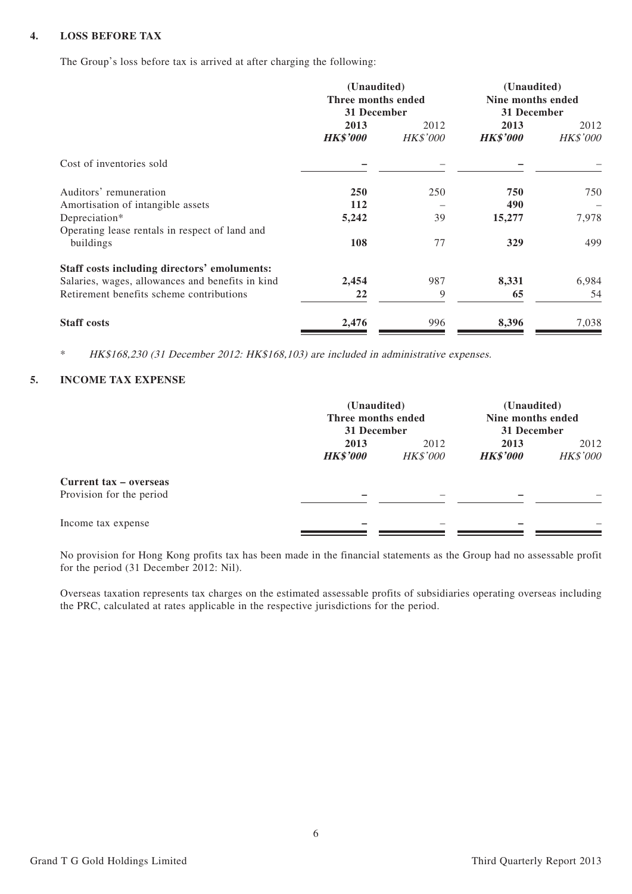#### **4. LOSS BEFORE TAX**

The Group's loss before tax is arrived at after charging the following:

|                                                  | (Unaudited)<br>Three months ended<br>31 December |                  | (Unaudited)<br>Nine months ended<br>31 December |                  |
|--------------------------------------------------|--------------------------------------------------|------------------|-------------------------------------------------|------------------|
|                                                  | 2013<br><b>HK\$'000</b>                          | 2012<br>HK\$'000 | 2013<br><b>HK\$'000</b>                         | 2012<br>HK\$'000 |
| Cost of inventories sold                         |                                                  |                  |                                                 |                  |
| Auditors' remuneration                           | <b>250</b>                                       | 250              | 750                                             | 750              |
| Amortisation of intangible assets                | 112                                              |                  | 490                                             |                  |
| Depreciation*                                    | 5,242                                            | 39               | 15,277                                          | 7,978            |
| Operating lease rentals in respect of land and   |                                                  |                  |                                                 |                  |
| buildings                                        | 108                                              | 77               | 329                                             | 499              |
| Staff costs including directors' emoluments:     |                                                  |                  |                                                 |                  |
| Salaries, wages, allowances and benefits in kind | 2,454                                            | 987              | 8,331                                           | 6,984            |
| Retirement benefits scheme contributions         | 22                                               | 9                | 65                                              | 54               |
| <b>Staff costs</b>                               | 2,476                                            | 996              | 8,396                                           | 7,038            |

HK\$168,230 (31 December 2012: HK\$168,103) are included in administrative expenses.

#### **5. INCOME TAX EXPENSE**

|                                                    |                         | (Unaudited)<br>Three months ended<br>31 December |                         | (Unaudited)<br>Nine months ended<br>31 December |
|----------------------------------------------------|-------------------------|--------------------------------------------------|-------------------------|-------------------------------------------------|
|                                                    | 2013<br><b>HK\$'000</b> | 2012<br><b>HK\$'000</b>                          | 2013<br><b>HK\$'000</b> | 2012<br><b>HK\$'000</b>                         |
| Current tax – overseas<br>Provision for the period |                         |                                                  |                         |                                                 |
| Income tax expense                                 |                         |                                                  |                         |                                                 |

No provision for Hong Kong profits tax has been made in the financial statements as the Group had no assessable profit for the period (31 December 2012: Nil).

Overseas taxation represents tax charges on the estimated assessable profits of subsidiaries operating overseas including the PRC, calculated at rates applicable in the respective jurisdictions for the period.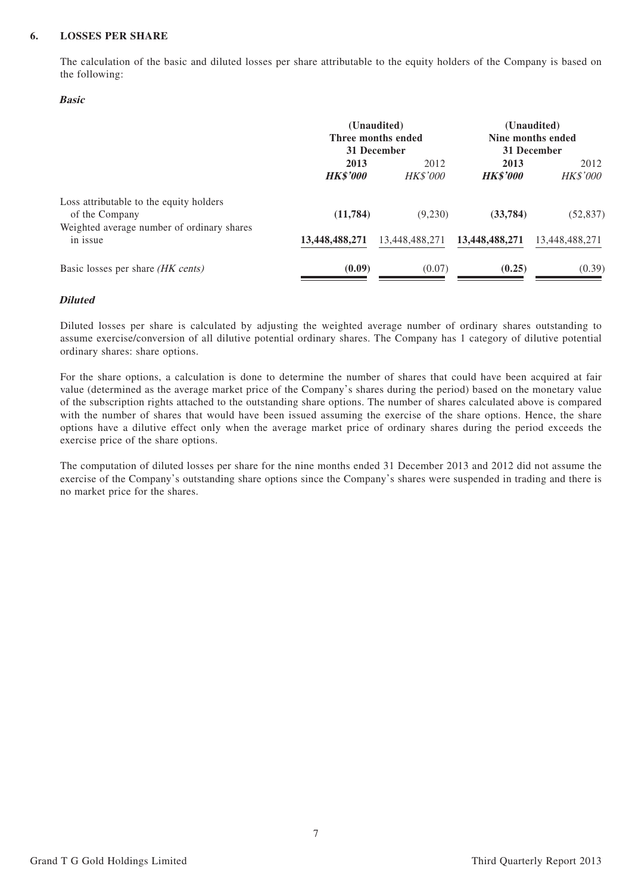#### **6. LOSSES PER SHARE**

The calculation of the basic and diluted losses per share attributable to the equity holders of the Company is based on the following:

#### **Basic**

|                                                                                                         | (Unaudited)<br>Three months ended<br>31 December |                         |                         | (Unaudited)<br>Nine months ended<br>31 December |
|---------------------------------------------------------------------------------------------------------|--------------------------------------------------|-------------------------|-------------------------|-------------------------------------------------|
|                                                                                                         | 2013<br><b>HK\$'000</b>                          | 2012<br><b>HK\$'000</b> | 2013<br><b>HK\$'000</b> | 2012<br><b>HK\$'000</b>                         |
| Loss attributable to the equity holders<br>of the Company<br>Weighted average number of ordinary shares | (11, 784)                                        | (9,230)                 | (33, 784)               | (52, 837)                                       |
| in issue                                                                                                | 13,448,488,271                                   | 13,448,488,271          | 13,448,488,271          | 13,448,488,271                                  |
| Basic losses per share (HK cents)                                                                       | (0.09)                                           | (0.07)                  | (0.25)                  | (0.39)                                          |

#### **Diluted**

Diluted losses per share is calculated by adjusting the weighted average number of ordinary shares outstanding to assume exercise/conversion of all dilutive potential ordinary shares. The Company has 1 category of dilutive potential ordinary shares: share options.

For the share options, a calculation is done to determine the number of shares that could have been acquired at fair value (determined as the average market price of the Company's shares during the period) based on the monetary value of the subscription rights attached to the outstanding share options. The number of shares calculated above is compared with the number of shares that would have been issued assuming the exercise of the share options. Hence, the share options have a dilutive effect only when the average market price of ordinary shares during the period exceeds the exercise price of the share options.

The computation of diluted losses per share for the nine months ended 31 December 2013 and 2012 did not assume the exercise of the Company's outstanding share options since the Company's shares were suspended in trading and there is no market price for the shares.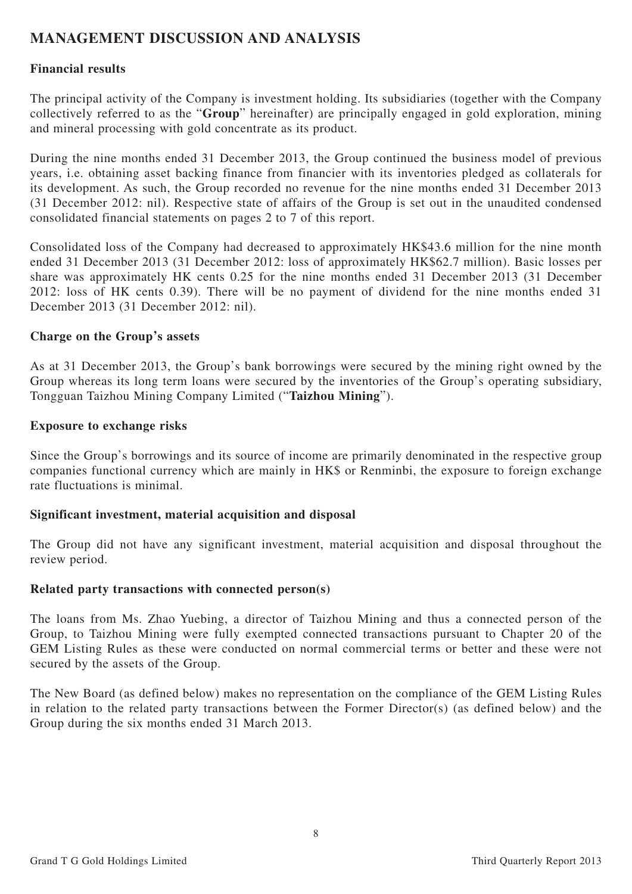# **MANAGEMENT DISCUSSION AND ANALYSIS**

## **Financial results**

The principal activity of the Company is investment holding. Its subsidiaries (together with the Company collectively referred to as the "**Group**" hereinafter) are principally engaged in gold exploration, mining and mineral processing with gold concentrate as its product.

During the nine months ended 31 December 2013, the Group continued the business model of previous years, i.e. obtaining asset backing finance from financier with its inventories pledged as collaterals for its development. As such, the Group recorded no revenue for the nine months ended 31 December 2013 (31 December 2012: nil). Respective state of affairs of the Group is set out in the unaudited condensed consolidated financial statements on pages 2 to 7 of this report.

Consolidated loss of the Company had decreased to approximately HK\$43.6 million for the nine month ended 31 December 2013 (31 December 2012: loss of approximately HK\$62.7 million). Basic losses per share was approximately HK cents 0.25 for the nine months ended 31 December 2013 (31 December 2012: loss of HK cents 0.39). There will be no payment of dividend for the nine months ended 31 December 2013 (31 December 2012: nil).

## **Charge on the Group's assets**

As at 31 December 2013, the Group's bank borrowings were secured by the mining right owned by the Group whereas its long term loans were secured by the inventories of the Group's operating subsidiary, Tongguan Taizhou Mining Company Limited ("**Taizhou Mining**").

#### **Exposure to exchange risks**

Since the Group's borrowings and its source of income are primarily denominated in the respective group companies functional currency which are mainly in HK\$ or Renminbi, the exposure to foreign exchange rate fluctuations is minimal.

## **Significant investment, material acquisition and disposal**

The Group did not have any significant investment, material acquisition and disposal throughout the review period.

#### **Related party transactions with connected person(s)**

The loans from Ms. Zhao Yuebing, a director of Taizhou Mining and thus a connected person of the Group, to Taizhou Mining were fully exempted connected transactions pursuant to Chapter 20 of the GEM Listing Rules as these were conducted on normal commercial terms or better and these were not secured by the assets of the Group.

The New Board (as defined below) makes no representation on the compliance of the GEM Listing Rules in relation to the related party transactions between the Former Director(s) (as defined below) and the Group during the six months ended 31 March 2013.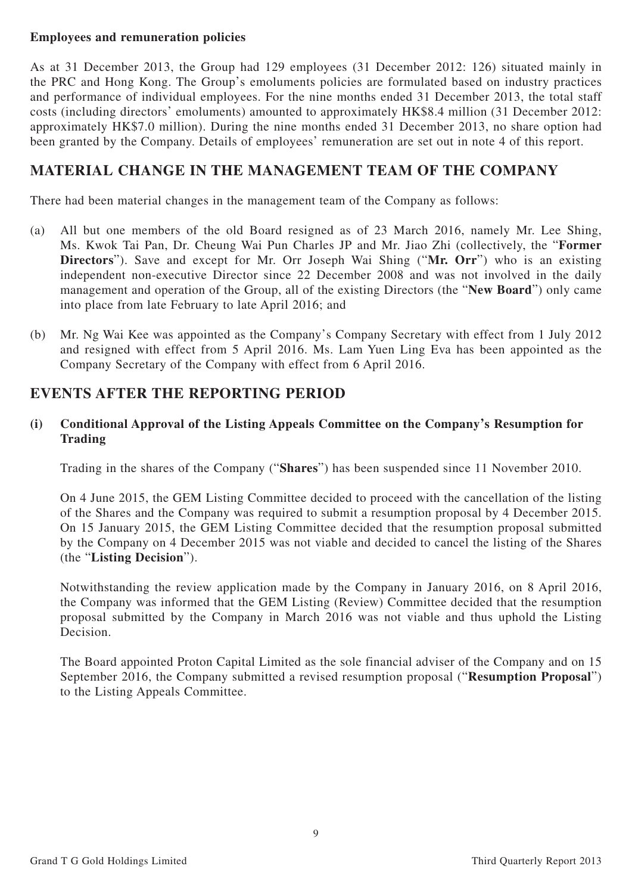## **Employees and remuneration policies**

As at 31 December 2013, the Group had 129 employees (31 December 2012: 126) situated mainly in the PRC and Hong Kong. The Group's emoluments policies are formulated based on industry practices and performance of individual employees. For the nine months ended 31 December 2013, the total staff costs (including directors' emoluments) amounted to approximately HK\$8.4 million (31 December 2012: approximately HK\$7.0 million). During the nine months ended 31 December 2013, no share option had been granted by the Company. Details of employees' remuneration are set out in note 4 of this report.

# **MATERIAL CHANGE IN THE MANAGEMENT TEAM OF THE COMPANY**

There had been material changes in the management team of the Company as follows:

- (a) All but one members of the old Board resigned as of 23 March 2016, namely Mr. Lee Shing, Ms. Kwok Tai Pan, Dr. Cheung Wai Pun Charles JP and Mr. Jiao Zhi (collectively, the "**Former Directors**"). Save and except for Mr. Orr Joseph Wai Shing ("**Mr. Orr**") who is an existing independent non-executive Director since 22 December 2008 and was not involved in the daily management and operation of the Group, all of the existing Directors (the "**New Board**") only came into place from late February to late April 2016; and
- (b) Mr. Ng Wai Kee was appointed as the Company's Company Secretary with effect from 1 July 2012 and resigned with effect from 5 April 2016. Ms. Lam Yuen Ling Eva has been appointed as the Company Secretary of the Company with effect from 6 April 2016.

# **EVENTS AFTER THE REPORTING PERIOD**

## **(i) Conditional Approval of the Listing Appeals Committee on the Company's Resumption for Trading**

Trading in the shares of the Company ("**Shares**") has been suspended since 11 November 2010.

On 4 June 2015, the GEM Listing Committee decided to proceed with the cancellation of the listing of the Shares and the Company was required to submit a resumption proposal by 4 December 2015. On 15 January 2015, the GEM Listing Committee decided that the resumption proposal submitted by the Company on 4 December 2015 was not viable and decided to cancel the listing of the Shares (the "**Listing Decision**").

Notwithstanding the review application made by the Company in January 2016, on 8 April 2016, the Company was informed that the GEM Listing (Review) Committee decided that the resumption proposal submitted by the Company in March 2016 was not viable and thus uphold the Listing Decision.

The Board appointed Proton Capital Limited as the sole financial adviser of the Company and on 15 September 2016, the Company submitted a revised resumption proposal ("**Resumption Proposal**") to the Listing Appeals Committee.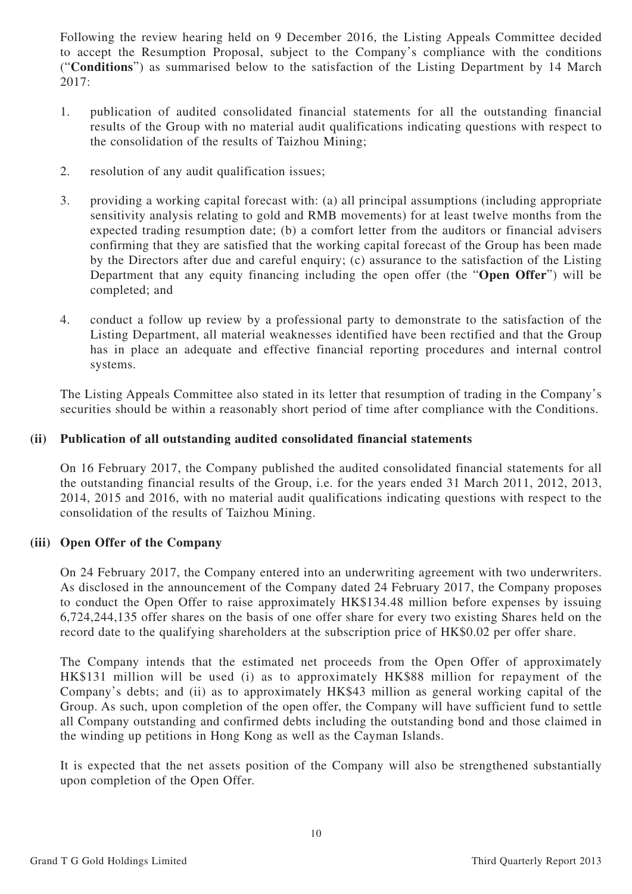Following the review hearing held on 9 December 2016, the Listing Appeals Committee decided to accept the Resumption Proposal, subject to the Company's compliance with the conditions ("**Conditions**") as summarised below to the satisfaction of the Listing Department by 14 March 2017:

- 1. publication of audited consolidated financial statements for all the outstanding financial results of the Group with no material audit qualifications indicating questions with respect to the consolidation of the results of Taizhou Mining;
- 2. resolution of any audit qualification issues;
- 3. providing a working capital forecast with: (a) all principal assumptions (including appropriate sensitivity analysis relating to gold and RMB movements) for at least twelve months from the expected trading resumption date; (b) a comfort letter from the auditors or financial advisers confirming that they are satisfied that the working capital forecast of the Group has been made by the Directors after due and careful enquiry; (c) assurance to the satisfaction of the Listing Department that any equity financing including the open offer (the "**Open Offer**") will be completed; and
- 4. conduct a follow up review by a professional party to demonstrate to the satisfaction of the Listing Department, all material weaknesses identified have been rectified and that the Group has in place an adequate and effective financial reporting procedures and internal control systems.

The Listing Appeals Committee also stated in its letter that resumption of trading in the Company's securities should be within a reasonably short period of time after compliance with the Conditions.

## **(ii) Publication of all outstanding audited consolidated financial statements**

On 16 February 2017, the Company published the audited consolidated financial statements for all the outstanding financial results of the Group, i.e. for the years ended 31 March 2011, 2012, 2013, 2014, 2015 and 2016, with no material audit qualifications indicating questions with respect to the consolidation of the results of Taizhou Mining.

## **(iii) Open Offer of the Company**

On 24 February 2017, the Company entered into an underwriting agreement with two underwriters. As disclosed in the announcement of the Company dated 24 February 2017, the Company proposes to conduct the Open Offer to raise approximately HK\$134.48 million before expenses by issuing 6,724,244,135 offer shares on the basis of one offer share for every two existing Shares held on the record date to the qualifying shareholders at the subscription price of HK\$0.02 per offer share.

The Company intends that the estimated net proceeds from the Open Offer of approximately HK\$131 million will be used (i) as to approximately HK\$88 million for repayment of the Company's debts; and (ii) as to approximately HK\$43 million as general working capital of the Group. As such, upon completion of the open offer, the Company will have sufficient fund to settle all Company outstanding and confirmed debts including the outstanding bond and those claimed in the winding up petitions in Hong Kong as well as the Cayman Islands.

It is expected that the net assets position of the Company will also be strengthened substantially upon completion of the Open Offer.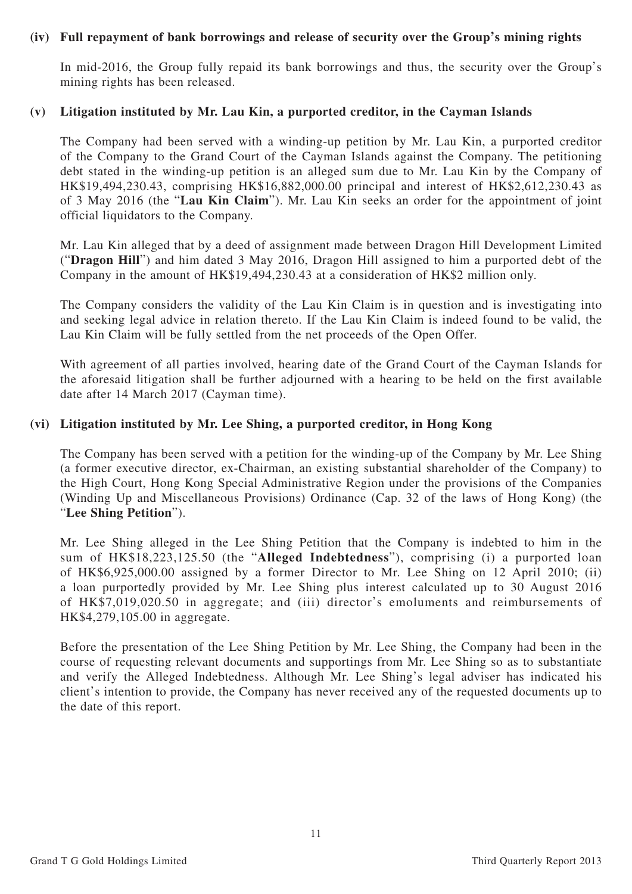#### **(iv) Full repayment of bank borrowings and release of security over the Group's mining rights**

In mid-2016, the Group fully repaid its bank borrowings and thus, the security over the Group's mining rights has been released.

#### **(v) Litigation instituted by Mr. Lau Kin, a purported creditor, in the Cayman Islands**

The Company had been served with a winding-up petition by Mr. Lau Kin, a purported creditor of the Company to the Grand Court of the Cayman Islands against the Company. The petitioning debt stated in the winding-up petition is an alleged sum due to Mr. Lau Kin by the Company of HK\$19,494,230.43, comprising HK\$16,882,000.00 principal and interest of HK\$2,612,230.43 as of 3 May 2016 (the "**Lau Kin Claim**"). Mr. Lau Kin seeks an order for the appointment of joint official liquidators to the Company.

Mr. Lau Kin alleged that by a deed of assignment made between Dragon Hill Development Limited ("**Dragon Hill**") and him dated 3 May 2016, Dragon Hill assigned to him a purported debt of the Company in the amount of HK\$19,494,230.43 at a consideration of HK\$2 million only.

The Company considers the validity of the Lau Kin Claim is in question and is investigating into and seeking legal advice in relation thereto. If the Lau Kin Claim is indeed found to be valid, the Lau Kin Claim will be fully settled from the net proceeds of the Open Offer.

With agreement of all parties involved, hearing date of the Grand Court of the Cayman Islands for the aforesaid litigation shall be further adjourned with a hearing to be held on the first available date after 14 March 2017 (Cayman time).

#### **(vi) Litigation instituted by Mr. Lee Shing, a purported creditor, in Hong Kong**

The Company has been served with a petition for the winding-up of the Company by Mr. Lee Shing (a former executive director, ex-Chairman, an existing substantial shareholder of the Company) to the High Court, Hong Kong Special Administrative Region under the provisions of the Companies (Winding Up and Miscellaneous Provisions) Ordinance (Cap. 32 of the laws of Hong Kong) (the "**Lee Shing Petition**").

Mr. Lee Shing alleged in the Lee Shing Petition that the Company is indebted to him in the sum of HK\$18,223,125.50 (the "**Alleged Indebtedness**"), comprising (i) a purported loan of HK\$6,925,000.00 assigned by a former Director to Mr. Lee Shing on 12 April 2010; (ii) a loan purportedly provided by Mr. Lee Shing plus interest calculated up to 30 August 2016 of HK\$7,019,020.50 in aggregate; and (iii) director's emoluments and reimbursements of HK\$4,279,105.00 in aggregate.

Before the presentation of the Lee Shing Petition by Mr. Lee Shing, the Company had been in the course of requesting relevant documents and supportings from Mr. Lee Shing so as to substantiate and verify the Alleged Indebtedness. Although Mr. Lee Shing's legal adviser has indicated his client's intention to provide, the Company has never received any of the requested documents up to the date of this report.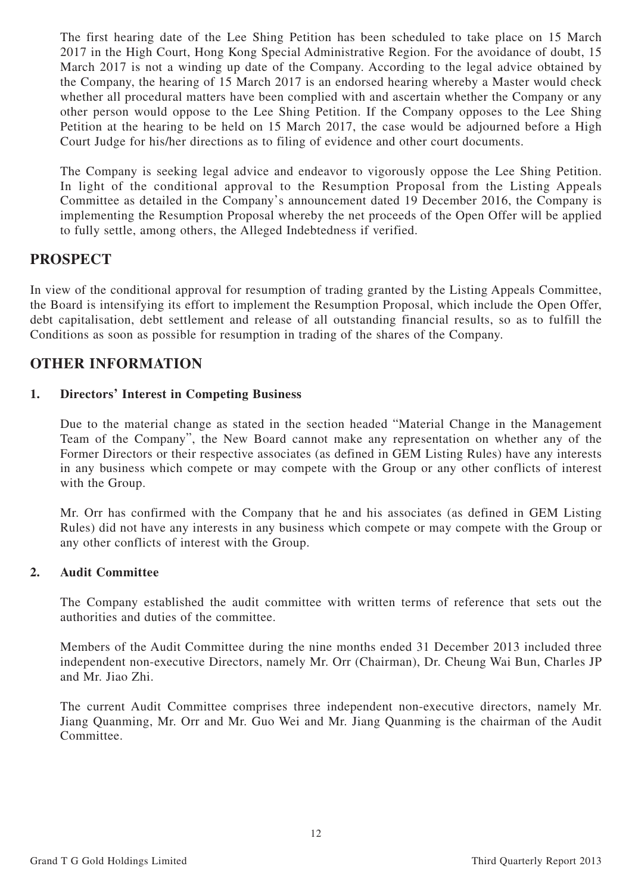The first hearing date of the Lee Shing Petition has been scheduled to take place on 15 March 2017 in the High Court, Hong Kong Special Administrative Region. For the avoidance of doubt, 15 March 2017 is not a winding up date of the Company. According to the legal advice obtained by the Company, the hearing of 15 March 2017 is an endorsed hearing whereby a Master would check whether all procedural matters have been complied with and ascertain whether the Company or any other person would oppose to the Lee Shing Petition. If the Company opposes to the Lee Shing Petition at the hearing to be held on 15 March 2017, the case would be adjourned before a High Court Judge for his/her directions as to filing of evidence and other court documents.

The Company is seeking legal advice and endeavor to vigorously oppose the Lee Shing Petition. In light of the conditional approval to the Resumption Proposal from the Listing Appeals Committee as detailed in the Company's announcement dated 19 December 2016, the Company is implementing the Resumption Proposal whereby the net proceeds of the Open Offer will be applied to fully settle, among others, the Alleged Indebtedness if verified.

# **PROSPECT**

In view of the conditional approval for resumption of trading granted by the Listing Appeals Committee, the Board is intensifying its effort to implement the Resumption Proposal, which include the Open Offer, debt capitalisation, debt settlement and release of all outstanding financial results, so as to fulfill the Conditions as soon as possible for resumption in trading of the shares of the Company.

# **OTHER INFORMATION**

## **1. Directors' Interest in Competing Business**

Due to the material change as stated in the section headed "Material Change in the Management Team of the Company", the New Board cannot make any representation on whether any of the Former Directors or their respective associates (as defined in GEM Listing Rules) have any interests in any business which compete or may compete with the Group or any other conflicts of interest with the Group.

Mr. Orr has confirmed with the Company that he and his associates (as defined in GEM Listing Rules) did not have any interests in any business which compete or may compete with the Group or any other conflicts of interest with the Group.

## **2. Audit Committee**

The Company established the audit committee with written terms of reference that sets out the authorities and duties of the committee.

Members of the Audit Committee during the nine months ended 31 December 2013 included three independent non-executive Directors, namely Mr. Orr (Chairman), Dr. Cheung Wai Bun, Charles JP and Mr. Jiao Zhi.

The current Audit Committee comprises three independent non-executive directors, namely Mr. Jiang Quanming, Mr. Orr and Mr. Guo Wei and Mr. Jiang Quanming is the chairman of the Audit Committee.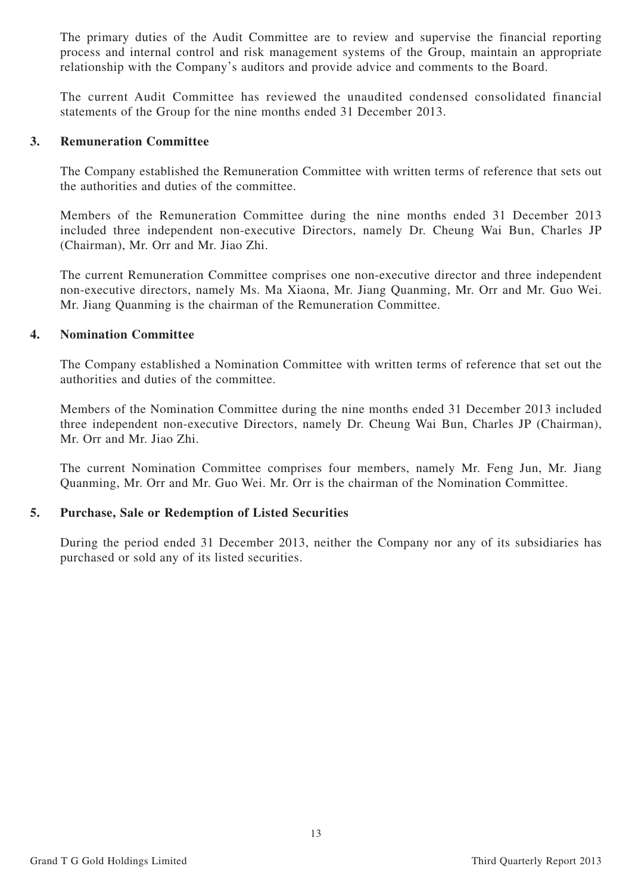The primary duties of the Audit Committee are to review and supervise the financial reporting process and internal control and risk management systems of the Group, maintain an appropriate relationship with the Company's auditors and provide advice and comments to the Board.

The current Audit Committee has reviewed the unaudited condensed consolidated financial statements of the Group for the nine months ended 31 December 2013.

#### **3. Remuneration Committee**

The Company established the Remuneration Committee with written terms of reference that sets out the authorities and duties of the committee.

Members of the Remuneration Committee during the nine months ended 31 December 2013 included three independent non-executive Directors, namely Dr. Cheung Wai Bun, Charles JP (Chairman), Mr. Orr and Mr. Jiao Zhi.

The current Remuneration Committee comprises one non-executive director and three independent non-executive directors, namely Ms. Ma Xiaona, Mr. Jiang Quanming, Mr. Orr and Mr. Guo Wei. Mr. Jiang Quanming is the chairman of the Remuneration Committee.

#### **4. Nomination Committee**

The Company established a Nomination Committee with written terms of reference that set out the authorities and duties of the committee.

Members of the Nomination Committee during the nine months ended 31 December 2013 included three independent non-executive Directors, namely Dr. Cheung Wai Bun, Charles JP (Chairman), Mr. Orr and Mr. Jiao Zhi.

The current Nomination Committee comprises four members, namely Mr. Feng Jun, Mr. Jiang Quanming, Mr. Orr and Mr. Guo Wei. Mr. Orr is the chairman of the Nomination Committee.

## **5. Purchase, Sale or Redemption of Listed Securities**

During the period ended 31 December 2013, neither the Company nor any of its subsidiaries has purchased or sold any of its listed securities.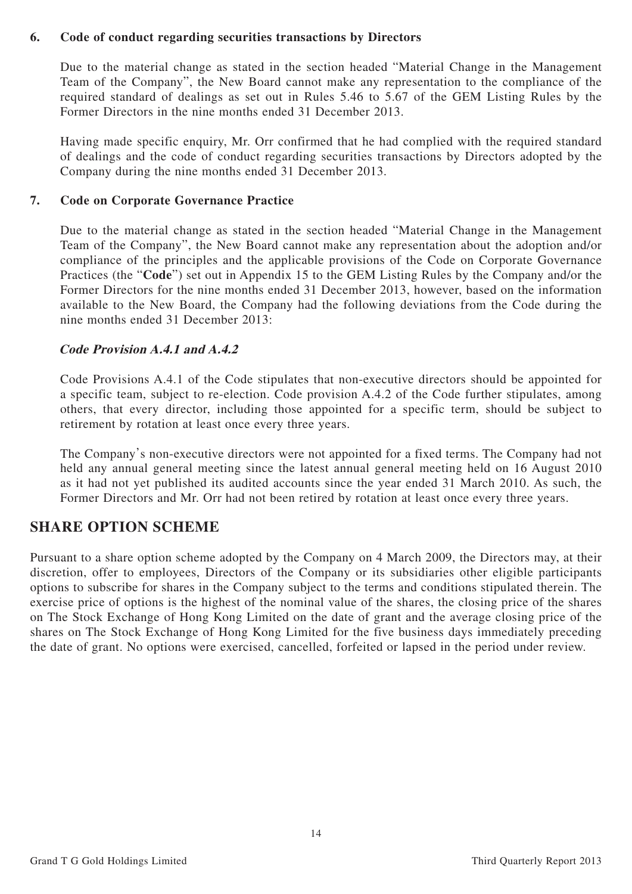#### **6. Code of conduct regarding securities transactions by Directors**

Due to the material change as stated in the section headed "Material Change in the Management Team of the Company", the New Board cannot make any representation to the compliance of the required standard of dealings as set out in Rules 5.46 to 5.67 of the GEM Listing Rules by the Former Directors in the nine months ended 31 December 2013.

Having made specific enquiry, Mr. Orr confirmed that he had complied with the required standard of dealings and the code of conduct regarding securities transactions by Directors adopted by the Company during the nine months ended 31 December 2013.

## **7. Code on Corporate Governance Practice**

Due to the material change as stated in the section headed "Material Change in the Management Team of the Company", the New Board cannot make any representation about the adoption and/or compliance of the principles and the applicable provisions of the Code on Corporate Governance Practices (the "**Code**") set out in Appendix 15 to the GEM Listing Rules by the Company and/or the Former Directors for the nine months ended 31 December 2013, however, based on the information available to the New Board, the Company had the following deviations from the Code during the nine months ended 31 December 2013:

## **Code Provision A.4.1 and A.4.2**

Code Provisions A.4.1 of the Code stipulates that non-executive directors should be appointed for a specific team, subject to re-election. Code provision A.4.2 of the Code further stipulates, among others, that every director, including those appointed for a specific term, should be subject to retirement by rotation at least once every three years.

The Company's non-executive directors were not appointed for a fixed terms. The Company had not held any annual general meeting since the latest annual general meeting held on 16 August 2010 as it had not yet published its audited accounts since the year ended 31 March 2010. As such, the Former Directors and Mr. Orr had not been retired by rotation at least once every three years.

# **SHARE OPTION SCHEME**

Pursuant to a share option scheme adopted by the Company on 4 March 2009, the Directors may, at their discretion, offer to employees, Directors of the Company or its subsidiaries other eligible participants options to subscribe for shares in the Company subject to the terms and conditions stipulated therein. The exercise price of options is the highest of the nominal value of the shares, the closing price of the shares on The Stock Exchange of Hong Kong Limited on the date of grant and the average closing price of the shares on The Stock Exchange of Hong Kong Limited for the five business days immediately preceding the date of grant. No options were exercised, cancelled, forfeited or lapsed in the period under review.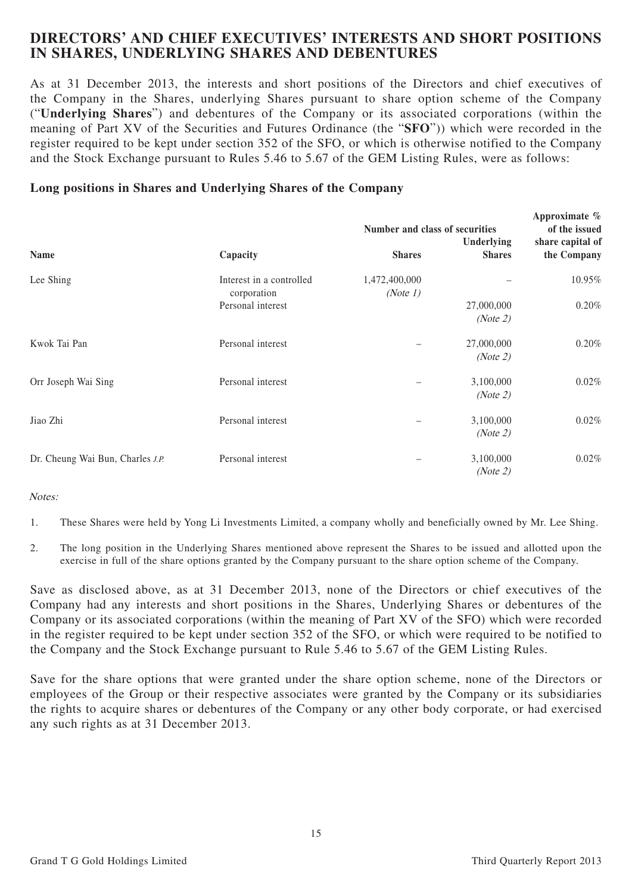# **DIRECTORS' AND CHIEF EXECUTIVES' INTERESTS AND SHORT POSITIONS IN SHARES, UNDERLYING SHARES AND DEBENTURES**

As at 31 December 2013, the interests and short positions of the Directors and chief executives of the Company in the Shares, underlying Shares pursuant to share option scheme of the Company ("**Underlying Shares**") and debentures of the Company or its associated corporations (within the meaning of Part XV of the Securities and Futures Ordinance (the "**SFO**")) which were recorded in the register required to be kept under section 352 of the SFO, or which is otherwise notified to the Company and the Stock Exchange pursuant to Rules 5.46 to 5.67 of the GEM Listing Rules, were as follows:

## **Long positions in Shares and Underlying Shares of the Company**

|                                  |                                         |                           | Number and class of securities |                                 |  |
|----------------------------------|-----------------------------------------|---------------------------|--------------------------------|---------------------------------|--|
| Name                             | Capacity                                | <b>Shares</b>             | Underlying<br><b>Shares</b>    | share capital of<br>the Company |  |
| Lee Shing                        | Interest in a controlled<br>corporation | 1,472,400,000<br>(Note 1) |                                | 10.95%                          |  |
|                                  | Personal interest                       |                           | 27,000,000<br>(Note 2)         | 0.20%                           |  |
| Kwok Tai Pan                     | Personal interest                       |                           | 27,000,000<br>(Note 2)         | 0.20%                           |  |
| Orr Joseph Wai Sing              | Personal interest                       |                           | 3,100,000<br>(Note 2)          | 0.02%                           |  |
| Jiao Zhi                         | Personal interest                       |                           | 3,100,000<br>(Note 2)          | 0.02%                           |  |
| Dr. Cheung Wai Bun, Charles J.P. | Personal interest                       |                           | 3,100,000<br>(Note 2)          | 0.02%                           |  |

#### Notes:

1. These Shares were held by Yong Li Investments Limited, a company wholly and beneficially owned by Mr. Lee Shing.

2. The long position in the Underlying Shares mentioned above represent the Shares to be issued and allotted upon the exercise in full of the share options granted by the Company pursuant to the share option scheme of the Company.

Save as disclosed above, as at 31 December 2013, none of the Directors or chief executives of the Company had any interests and short positions in the Shares, Underlying Shares or debentures of the Company or its associated corporations (within the meaning of Part XV of the SFO) which were recorded in the register required to be kept under section 352 of the SFO, or which were required to be notified to the Company and the Stock Exchange pursuant to Rule 5.46 to 5.67 of the GEM Listing Rules.

Save for the share options that were granted under the share option scheme, none of the Directors or employees of the Group or their respective associates were granted by the Company or its subsidiaries the rights to acquire shares or debentures of the Company or any other body corporate, or had exercised any such rights as at 31 December 2013.